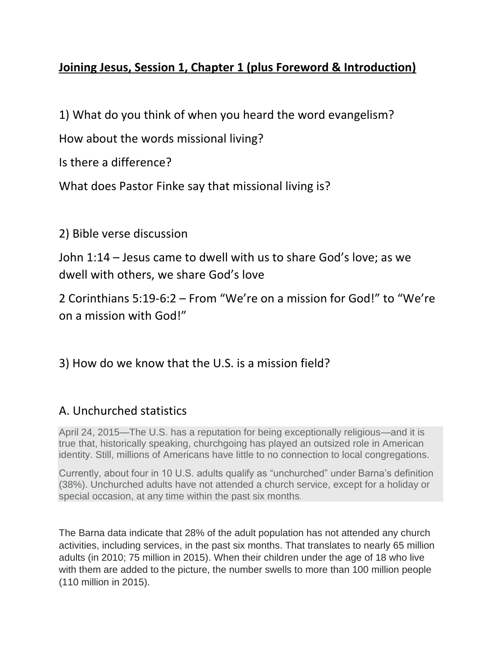## **Joining Jesus, Session 1, Chapter 1 (plus Foreword & Introduction)**

1) What do you think of when you heard the word evangelism?

How about the words missional living?

Is there a difference?

What does Pastor Finke say that missional living is?

2) Bible verse discussion

John 1:14 – Jesus came to dwell with us to share God's love; as we dwell with others, we share God's love

2 Corinthians 5:19-6:2 – From "We're on a mission for God!" to "We're on a mission with God!"

## 3) How do we know that the U.S. is a mission field?

## A. Unchurched statistics

April 24, 2015—The U.S. has a reputation for being exceptionally religious—and it is true that, historically speaking, churchgoing has played an outsized role in American identity. Still, millions of Americans have little to no connection to local congregations.

Currently, about four in 10 U.S. adults qualify as "unchurched" under Barna's definition (38%). Unchurched adults have not attended a church service, except for a holiday or special occasion, at any time within the past six months.

The Barna data indicate that 28% of the adult population has not attended any church activities, including services, in the past six months. That translates to nearly 65 million adults (in 2010; 75 million in 2015). When their children under the age of 18 who live with them are added to the picture, the number swells to more than 100 million people (110 million in 2015).